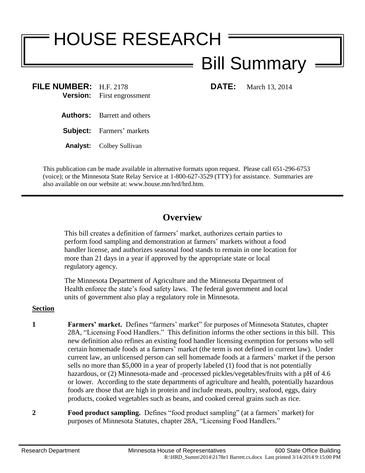## HOUSE RESEARCH Bill Summary

- **FILE NUMBER:** H.F. 2178 **DATE:** March 13, 2014 **Version:** First engrossment
	- **Authors:** Barrett and others

**Subject:** Farmers' markets

**Analyst:** Colbey Sullivan

This publication can be made available in alternative formats upon request. Please call 651-296-6753 (voice); or the Minnesota State Relay Service at 1-800-627-3529 (TTY) for assistance. Summaries are also available on our website at: www.house.mn/hrd/hrd.htm.

## **Overview**

This bill creates a definition of farmers' market, authorizes certain parties to perform food sampling and demonstration at farmers' markets without a food handler license, and authorizes seasonal food stands to remain in one location for more than 21 days in a year if approved by the appropriate state or local regulatory agency.

The Minnesota Department of Agriculture and the Minnesota Department of Health enforce the state's food safety laws. The federal government and local units of government also play a regulatory role in Minnesota.

## **Section**

- **1 Farmers' market.** Defines "farmers' market" for purposes of Minnesota Statutes, chapter 28A, "Licensing Food Handlers." This definition informs the other sections in this bill. This new definition also refines an existing food handler licensing exemption for persons who sell certain homemade foods at a farmers' market (the term is not defined in current law). Under current law, an unlicensed person can sell homemade foods at a farmers' market if the person sells no more than \$5,000 in a year of properly labeled (1) food that is not potentially hazardous, or (2) Minnesota-made and -processed pickles/vegetables/fruits with a pH of 4.6 or lower. According to the state departments of agriculture and health, potentially hazardous foods are those that are high in protein and include meats, poultry, seafood, eggs, dairy products, cooked vegetables such as beans, and cooked cereal grains such as rice.
- **2 Food product sampling.** Defines "food product sampling" (at a farmers' market) for purposes of Minnesota Statutes, chapter 28A, "Licensing Food Handlers."